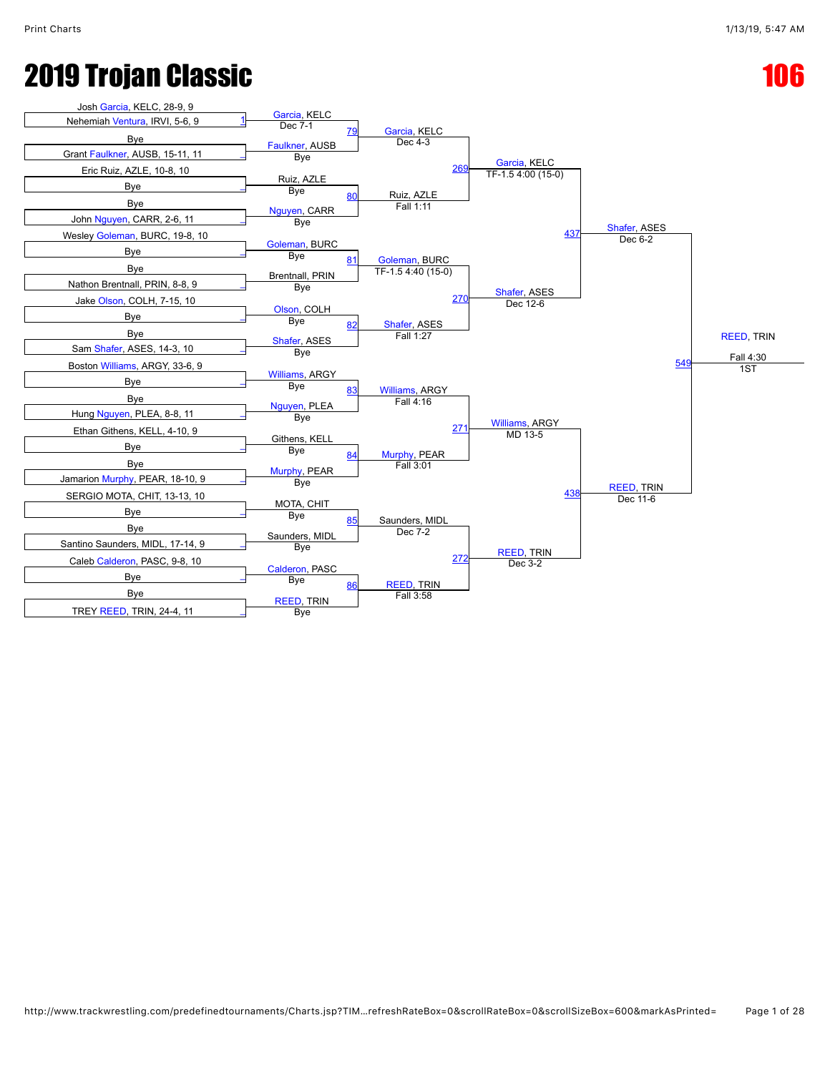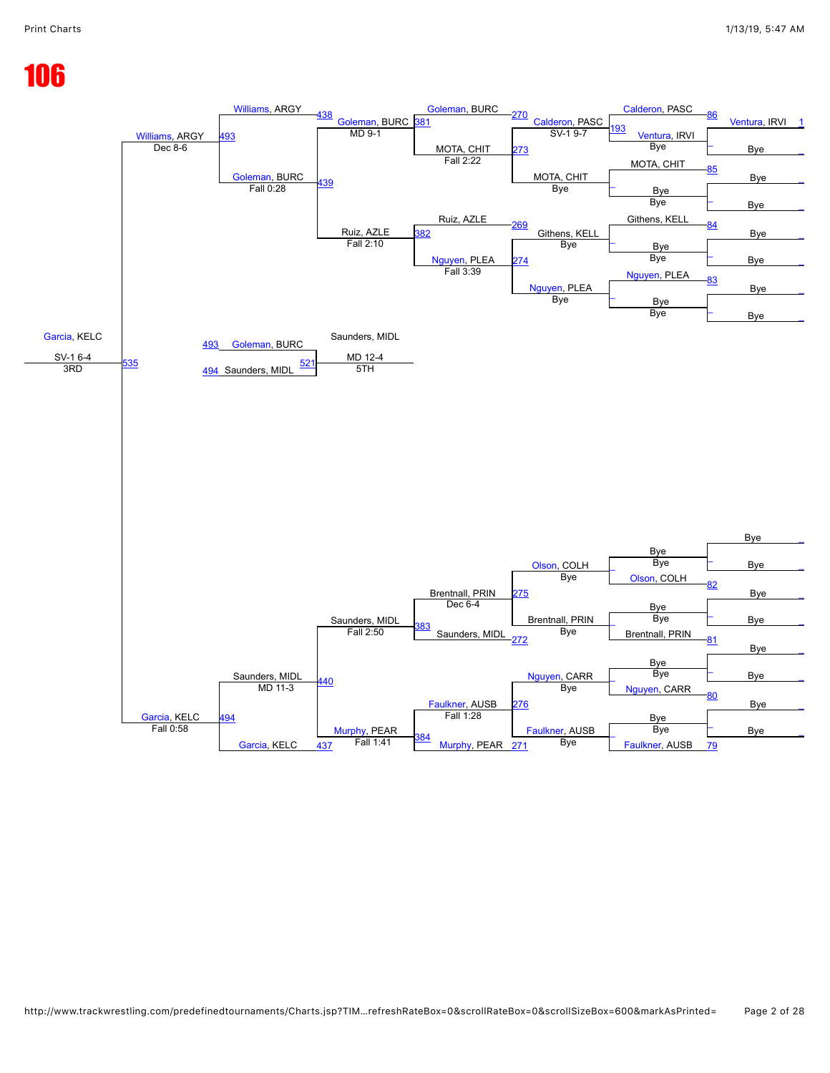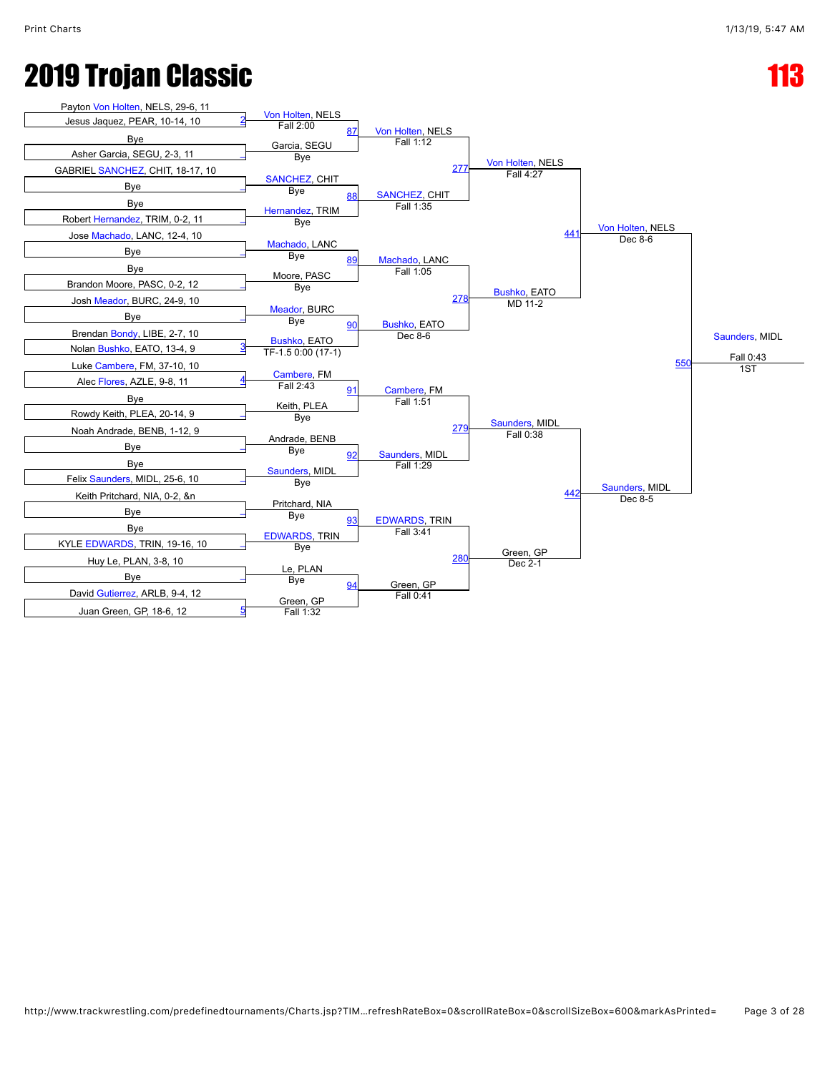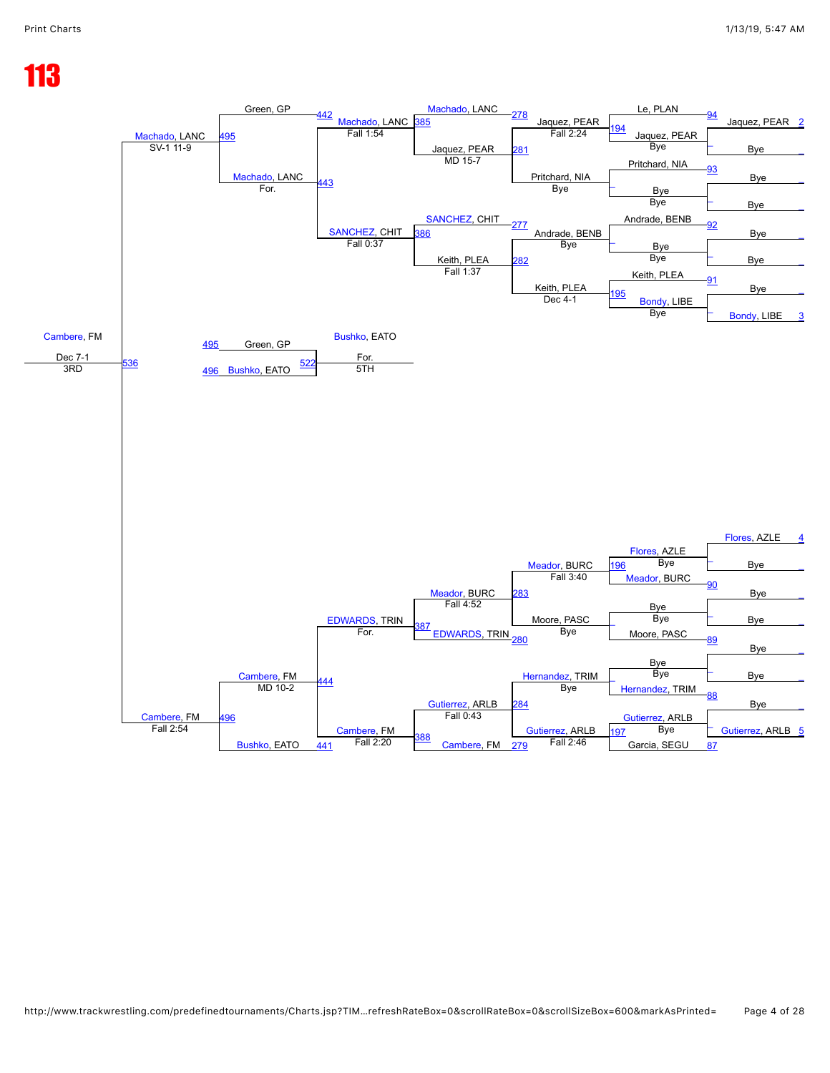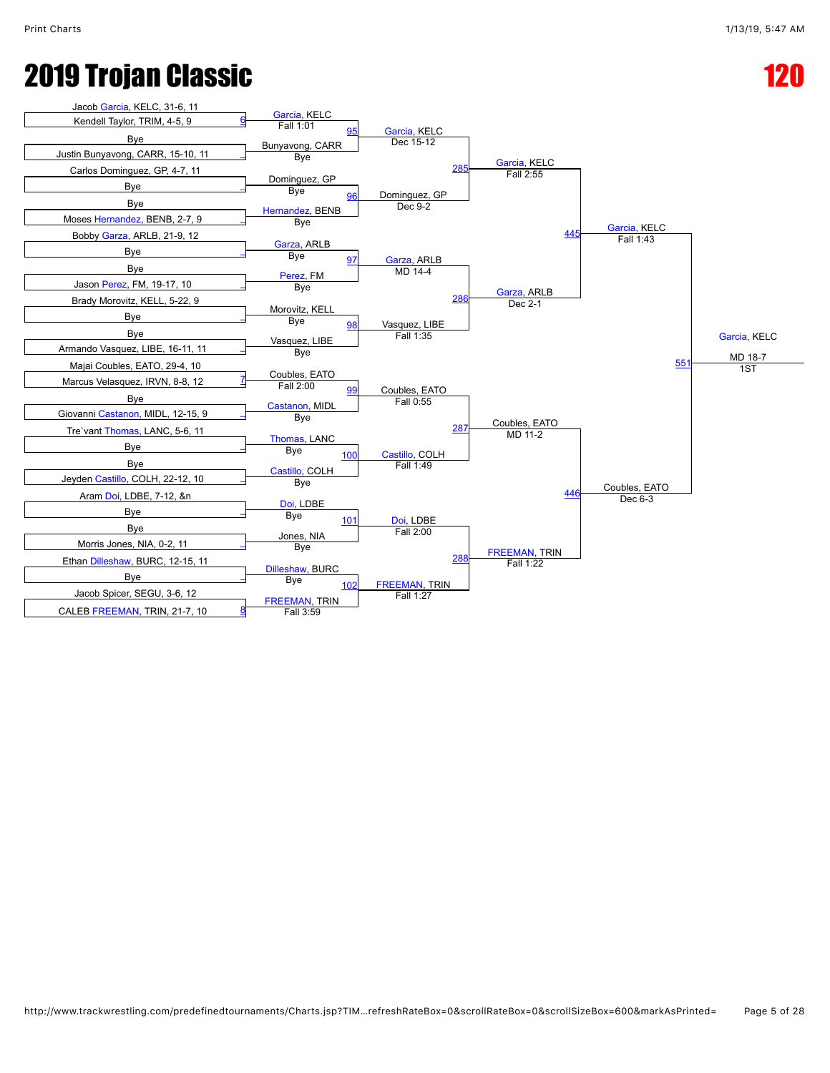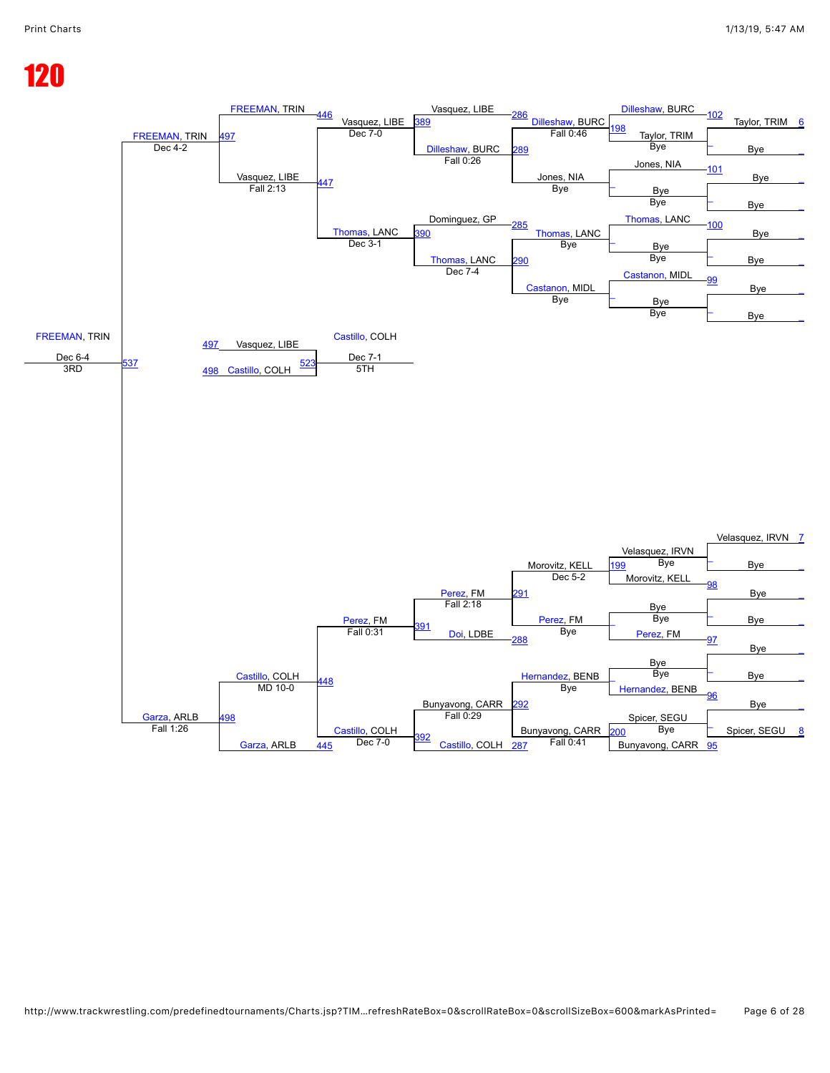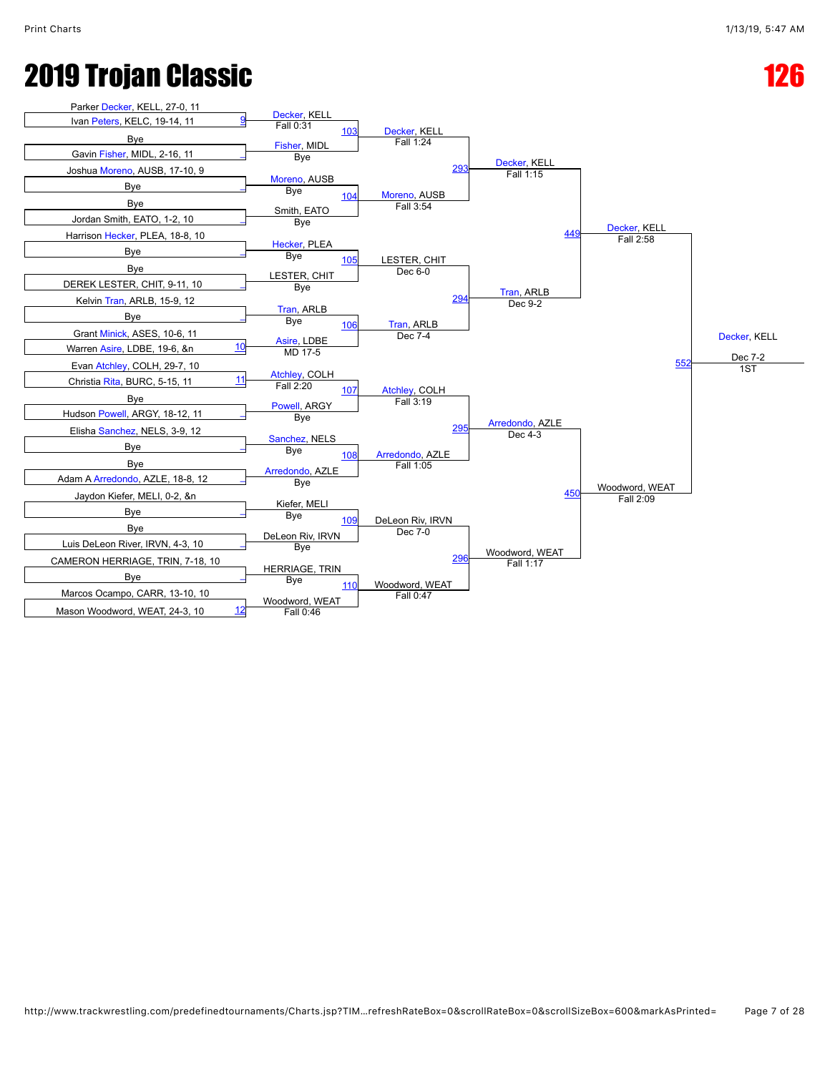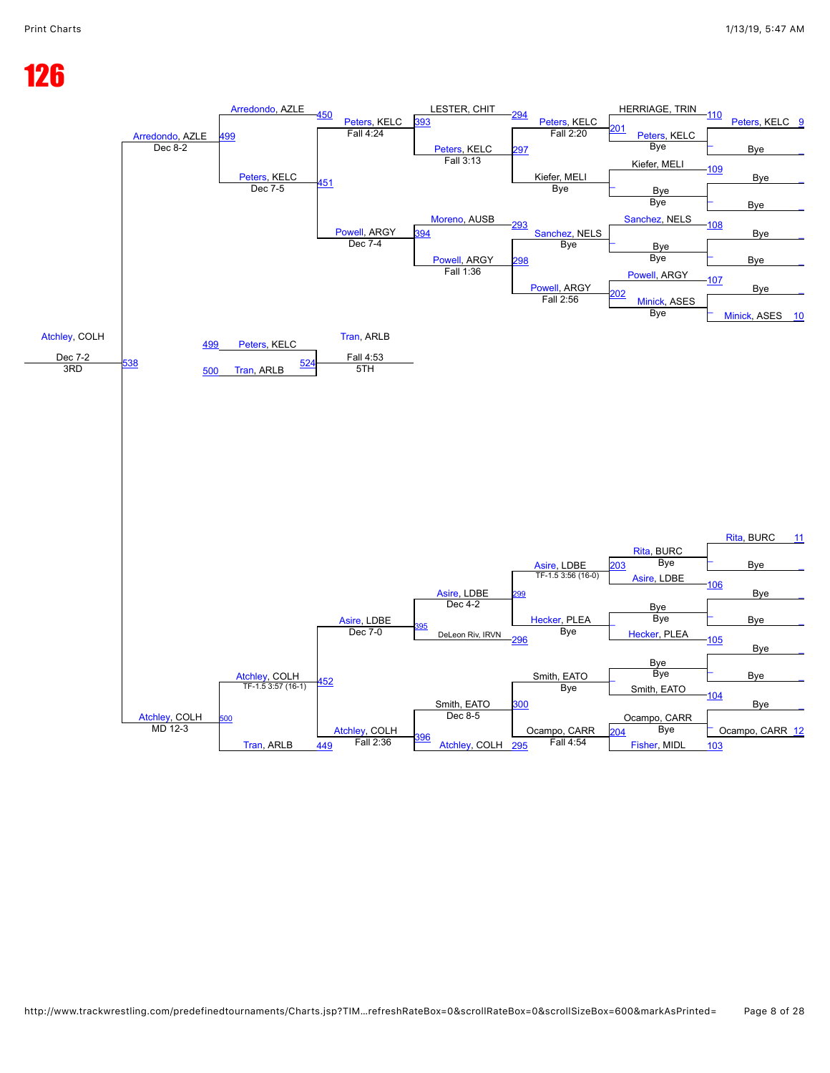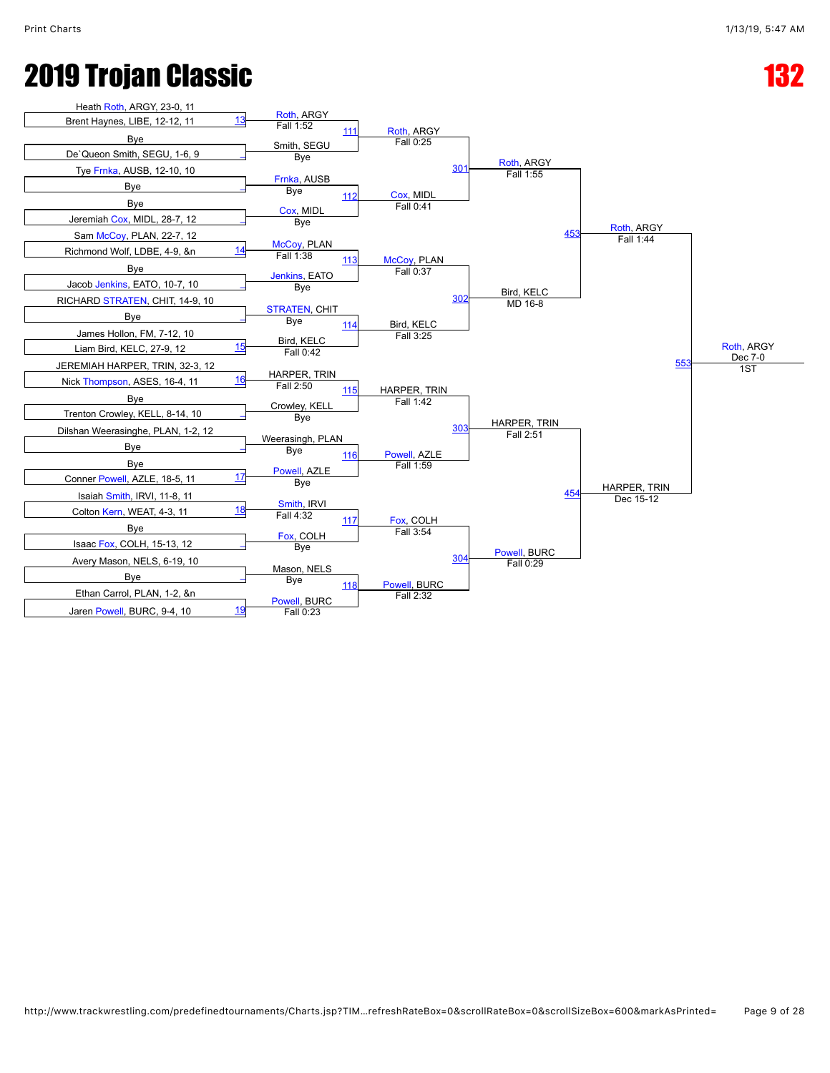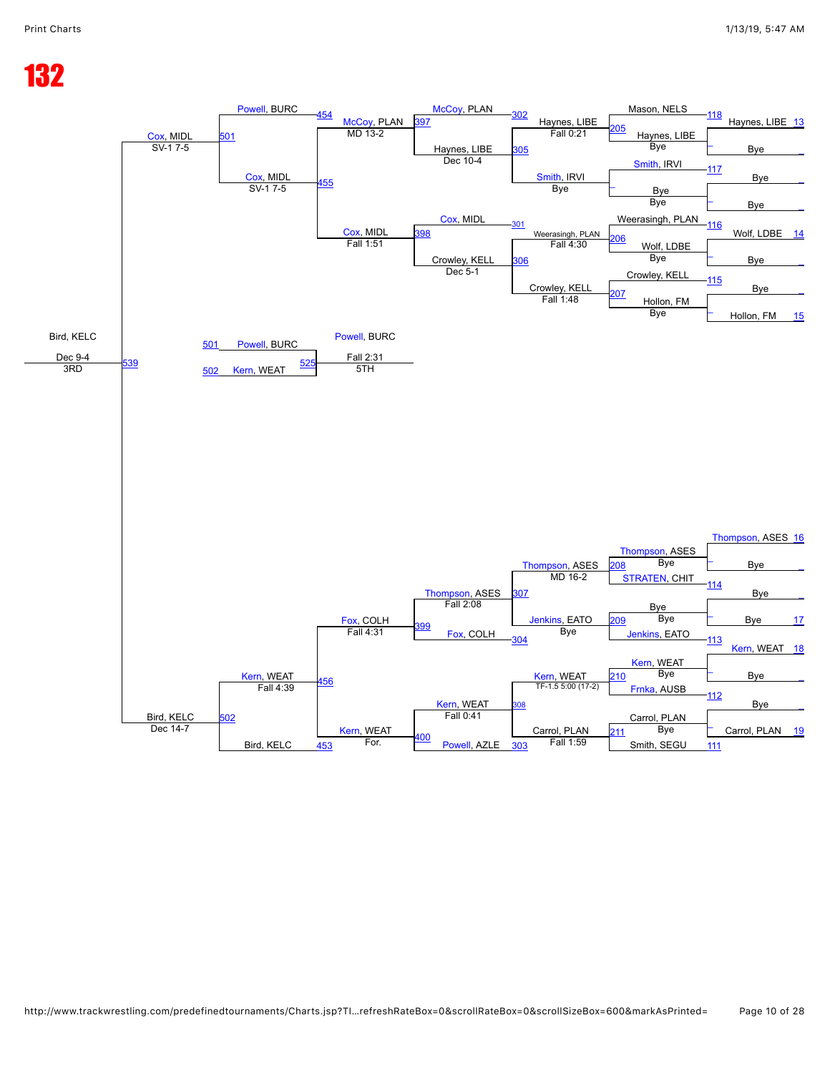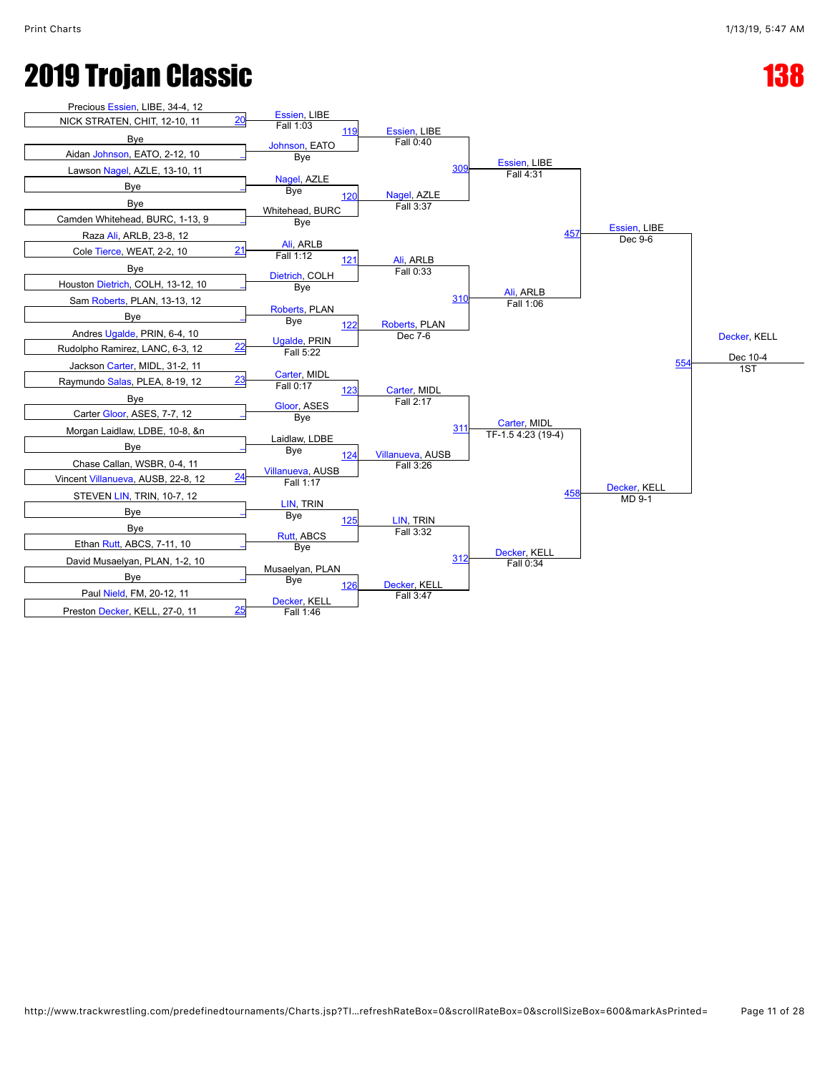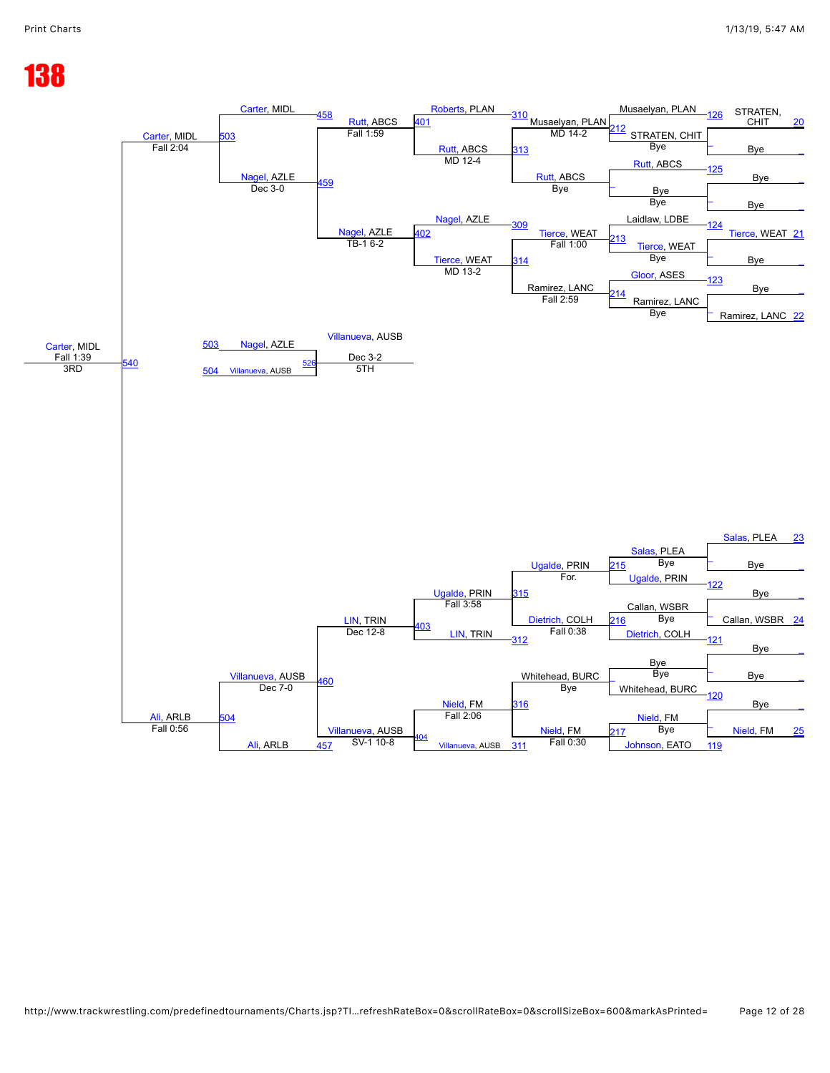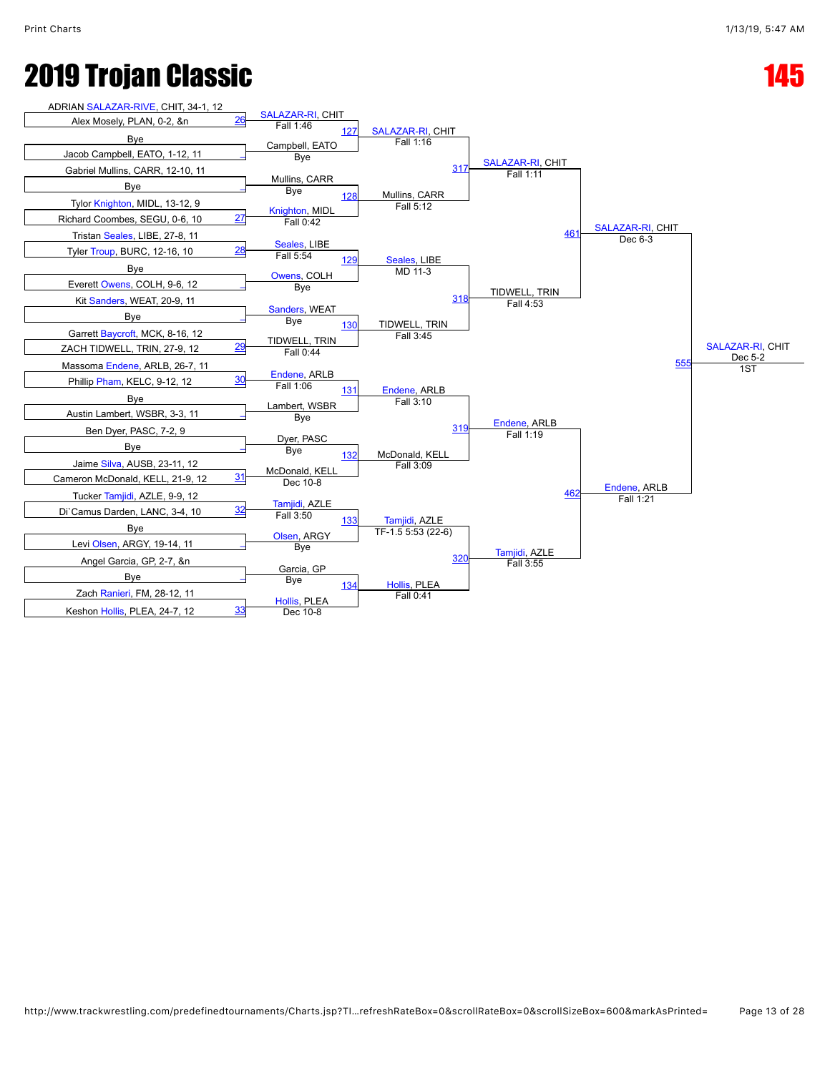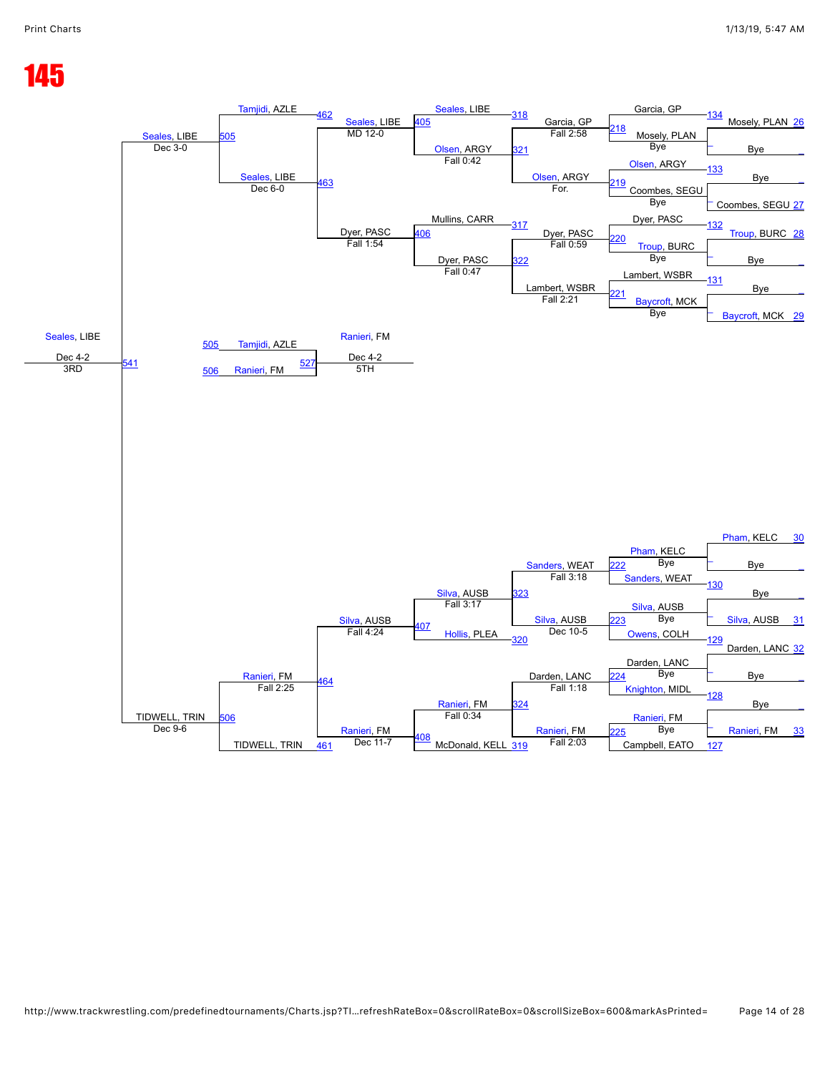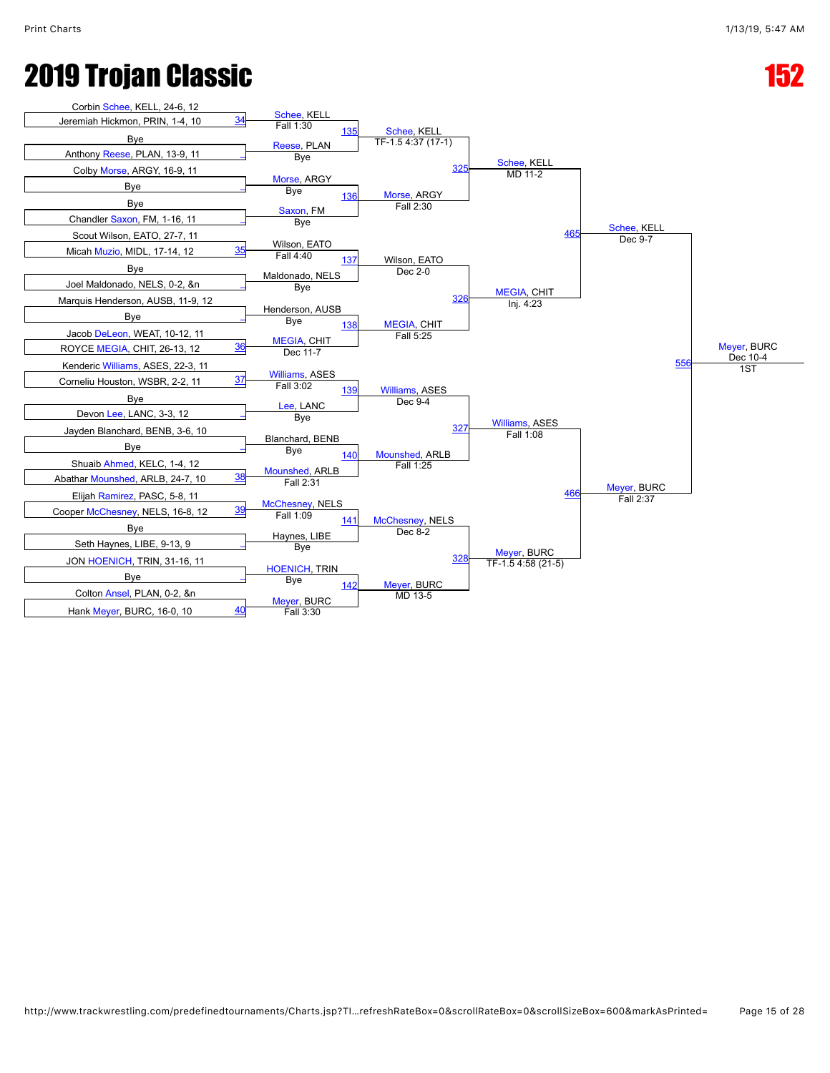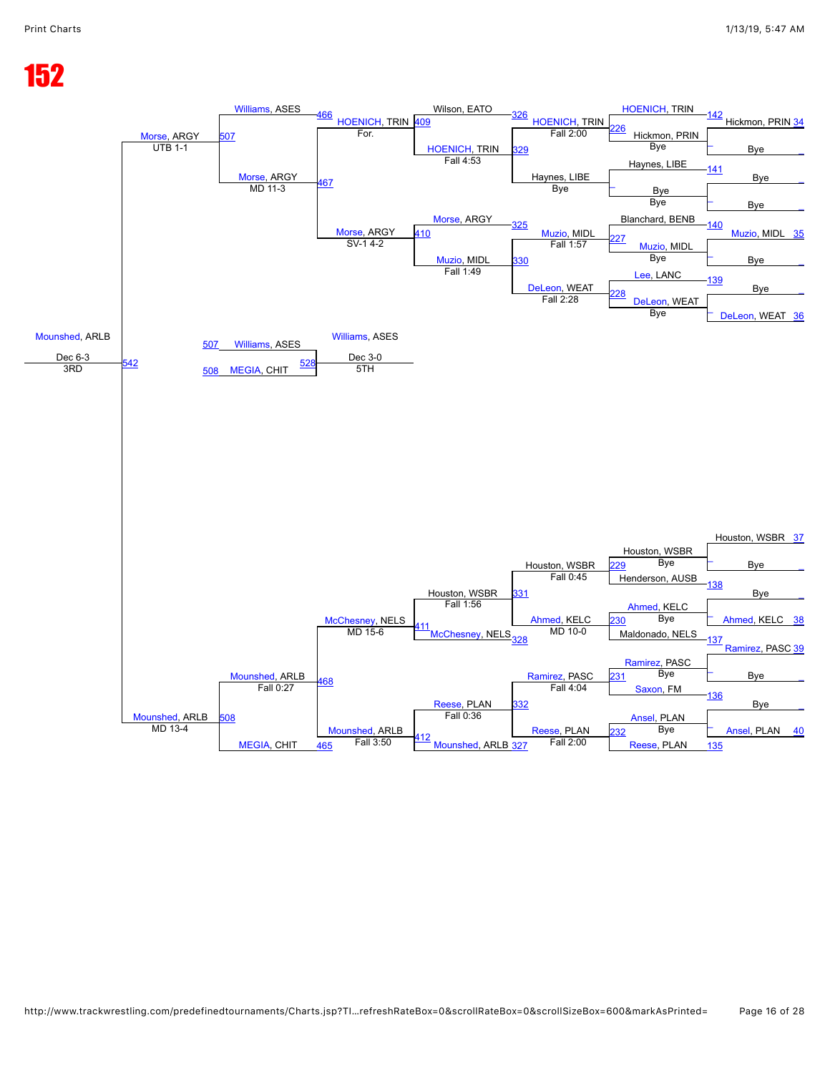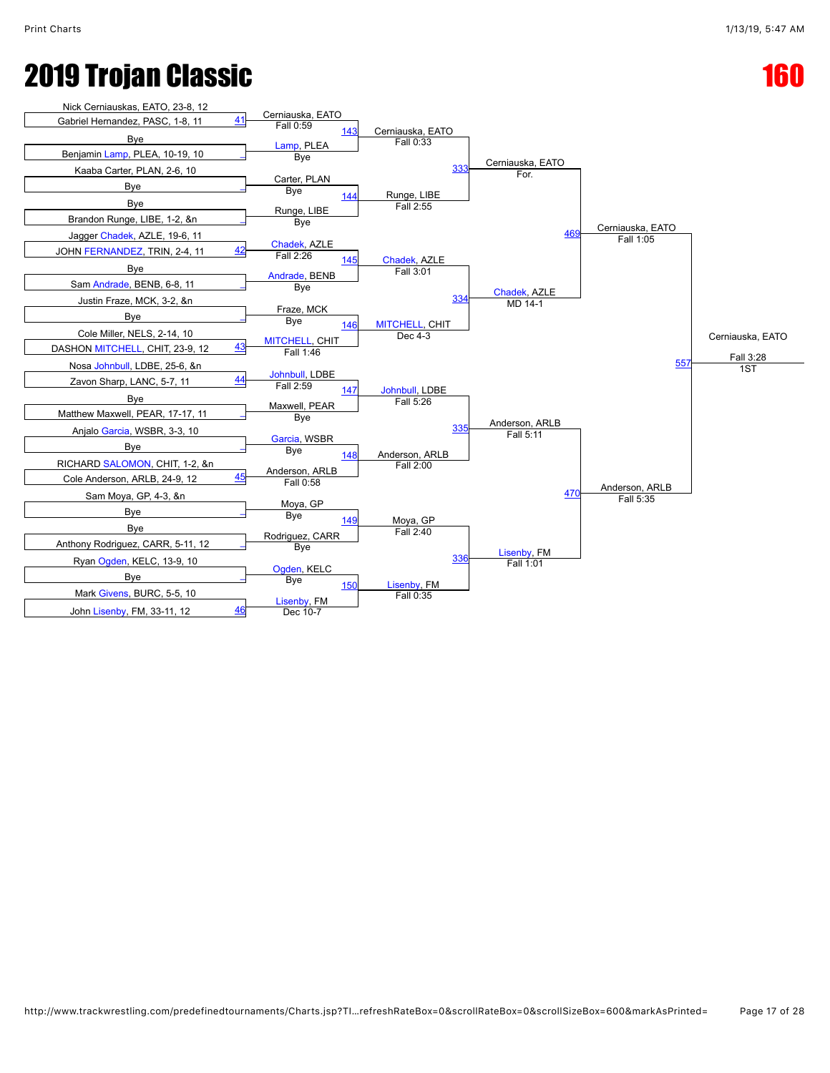

```
http://www.trackwrestling.com/predefinedtournaments/Charts.jsp?TI…refreshRateBox=0&scrollRateBox=0&scrollSizeBox=600&markAsPrinted= Page 17 of 28
```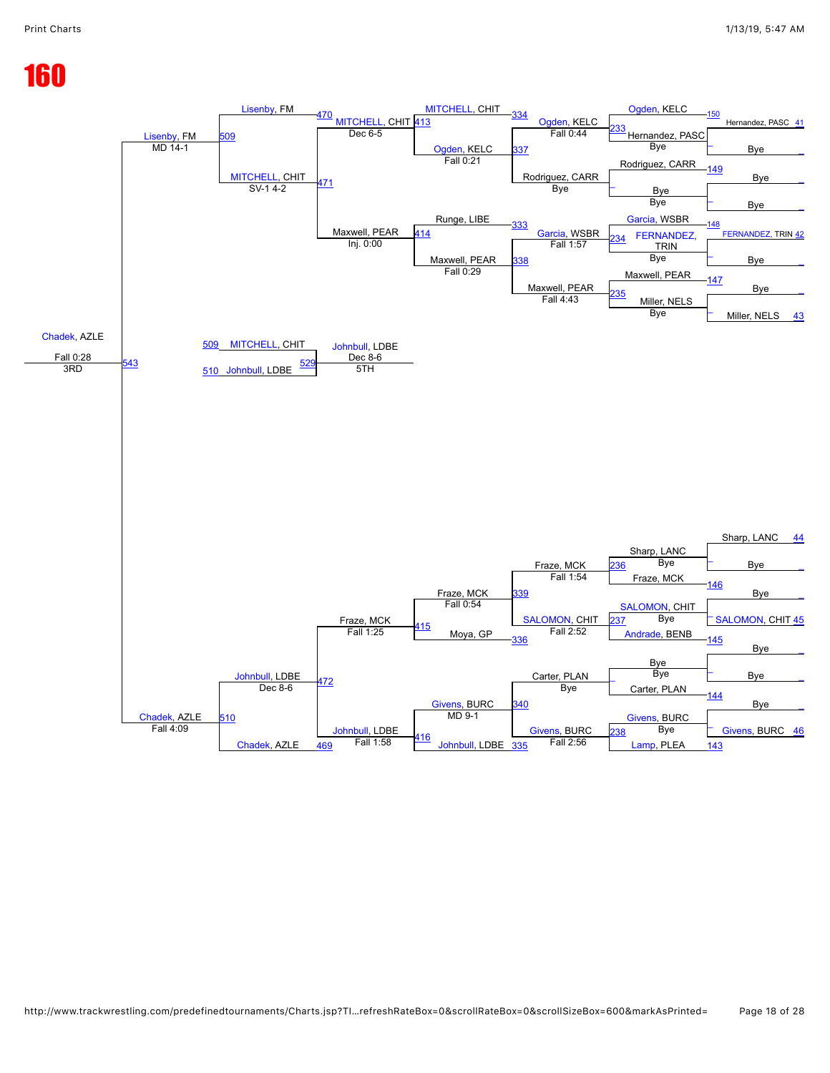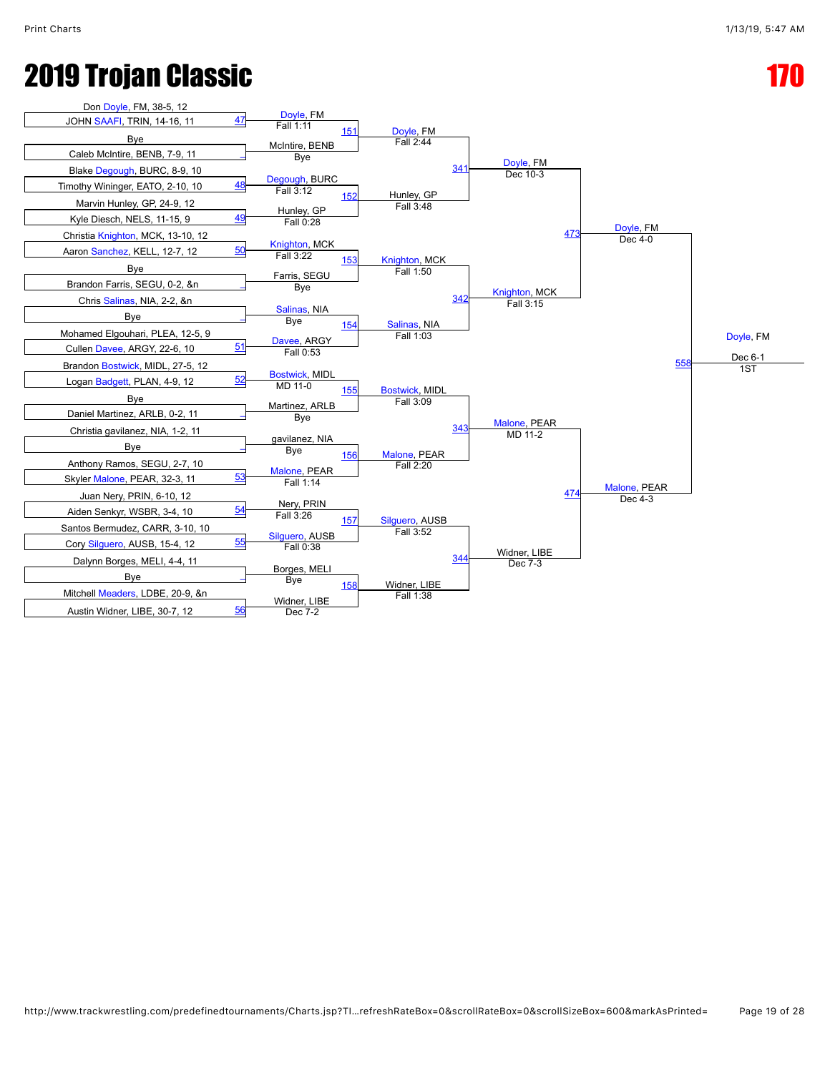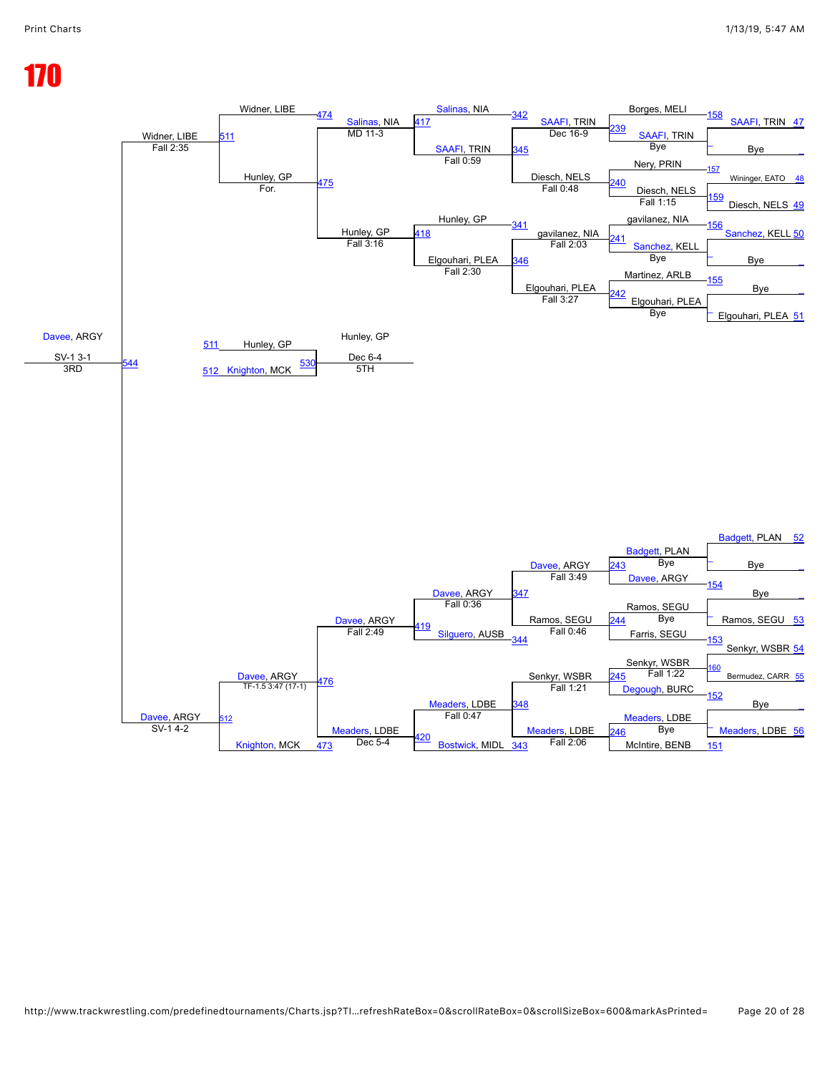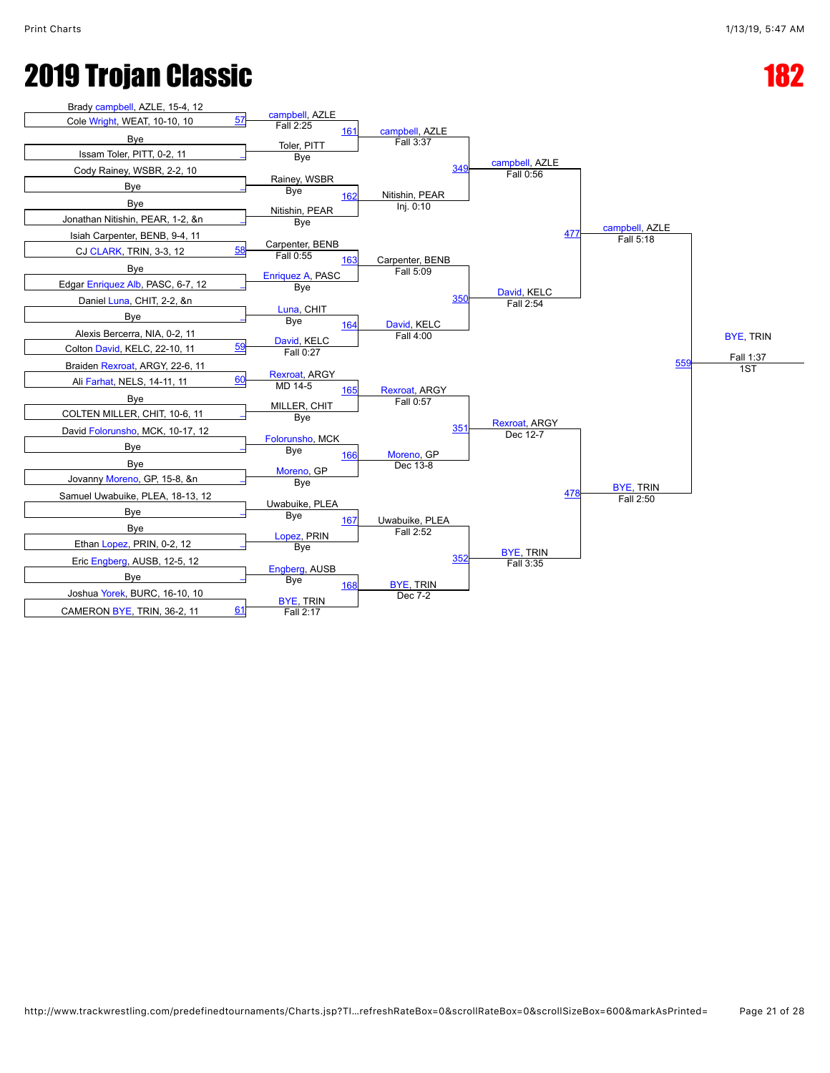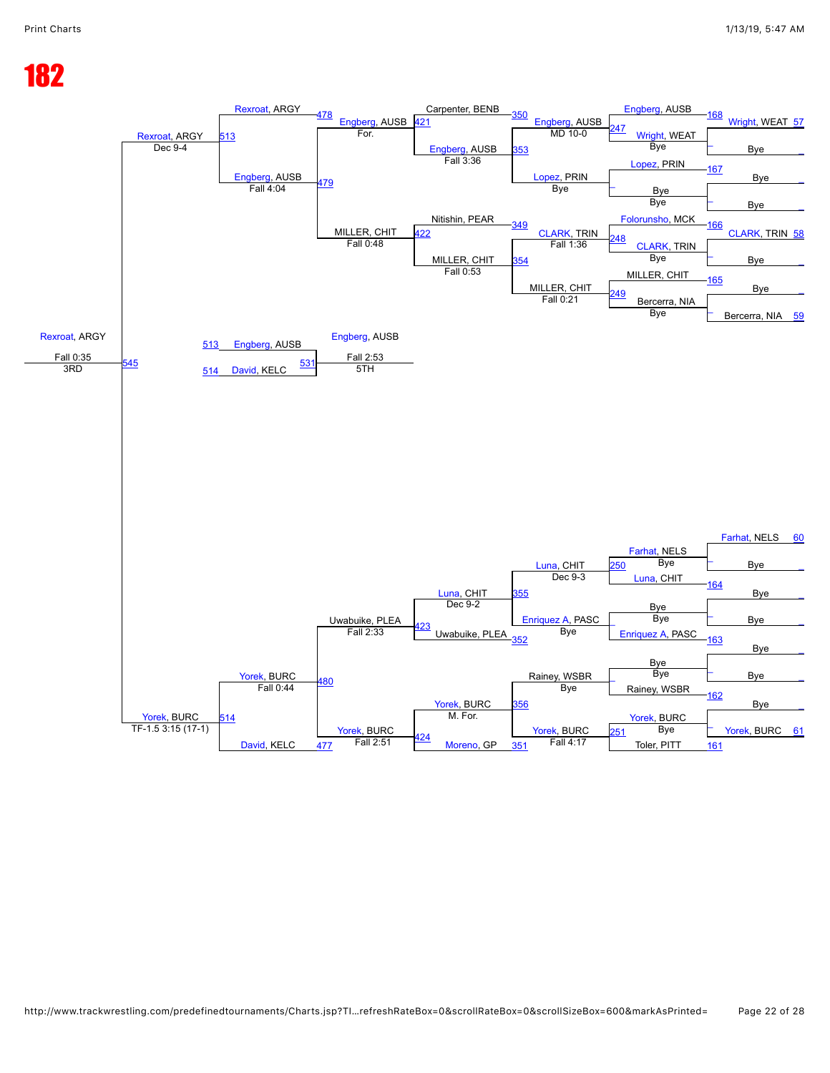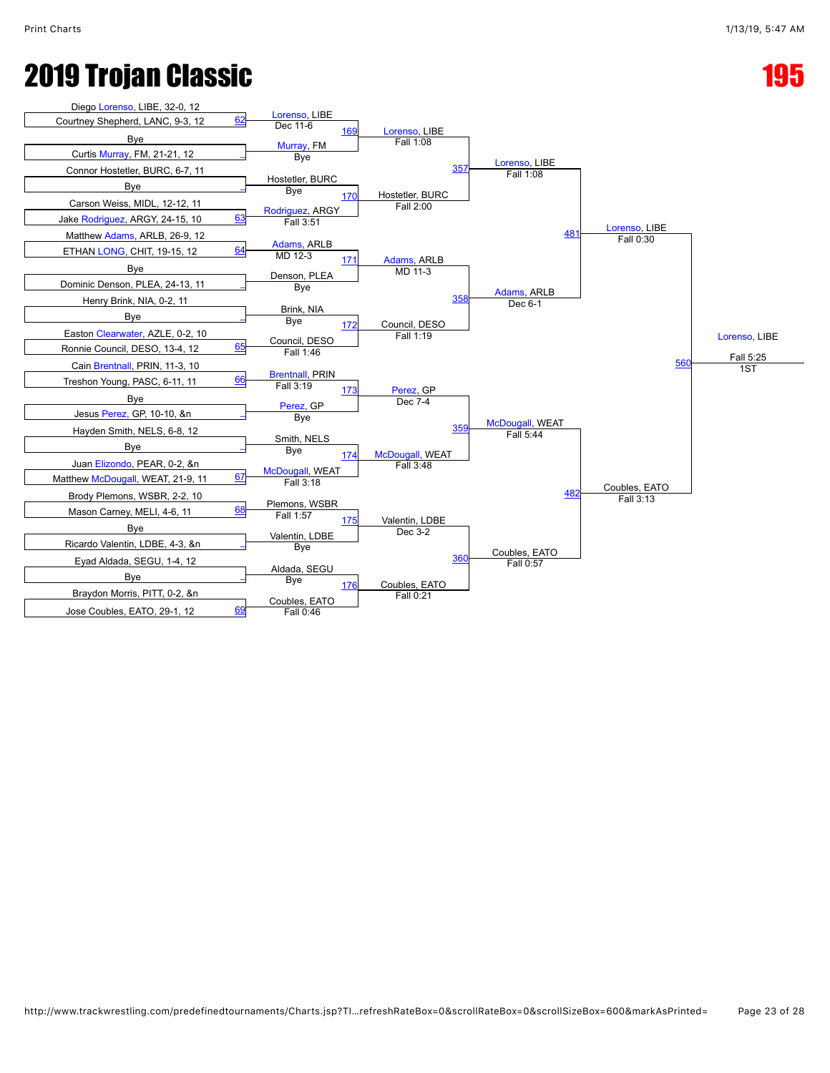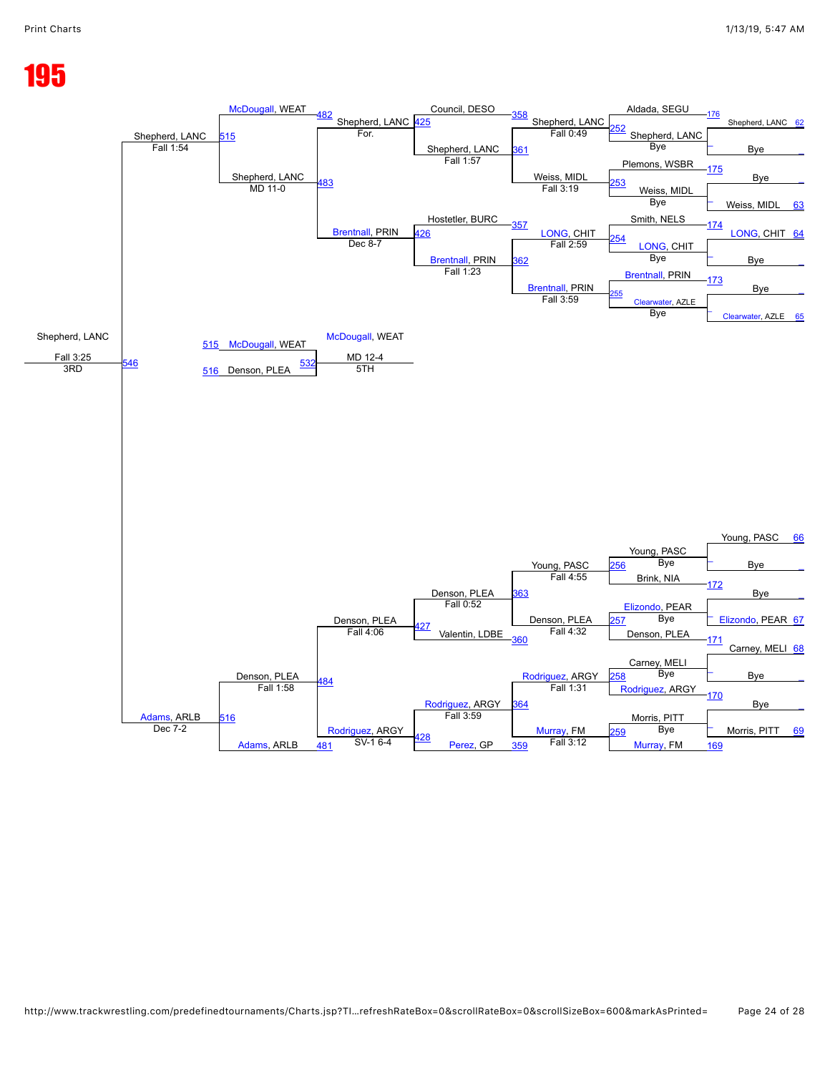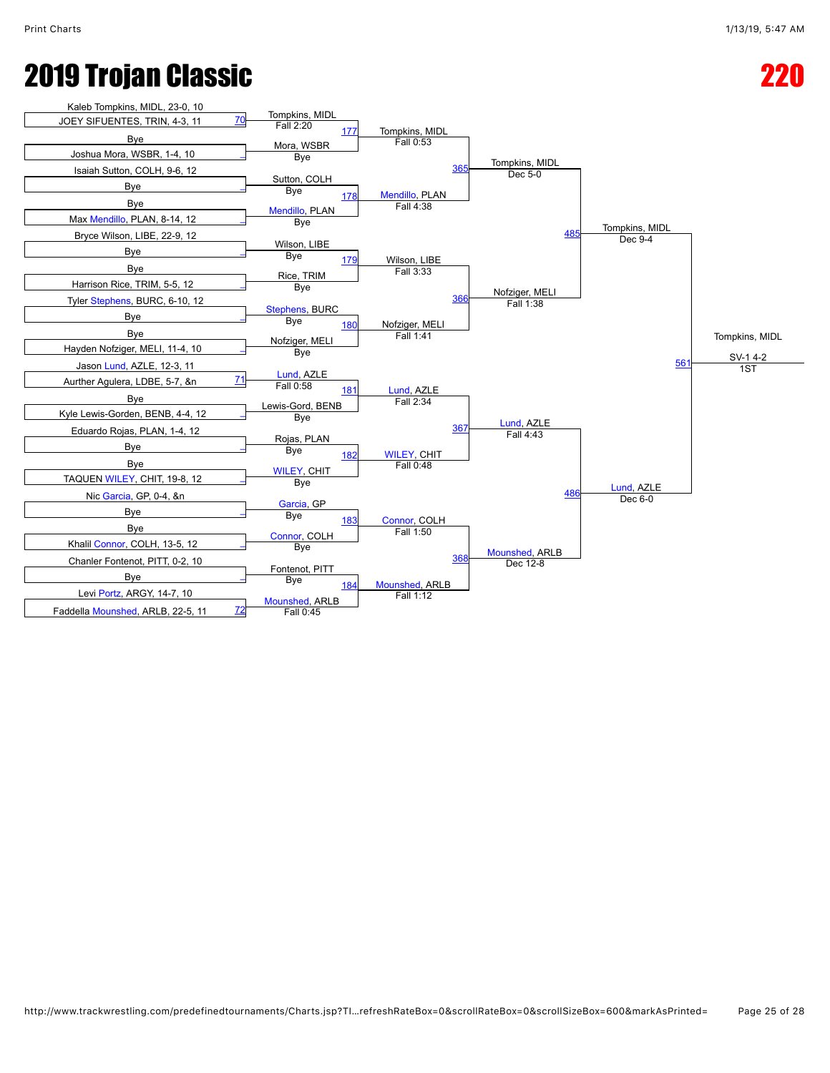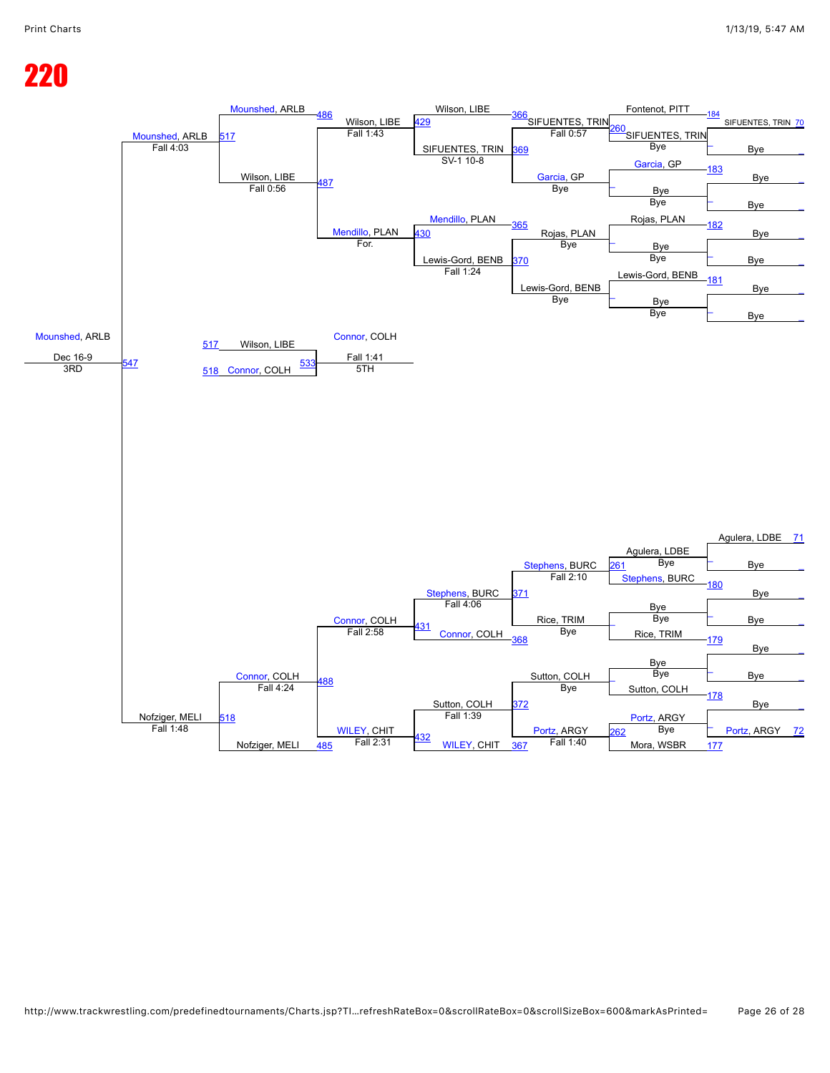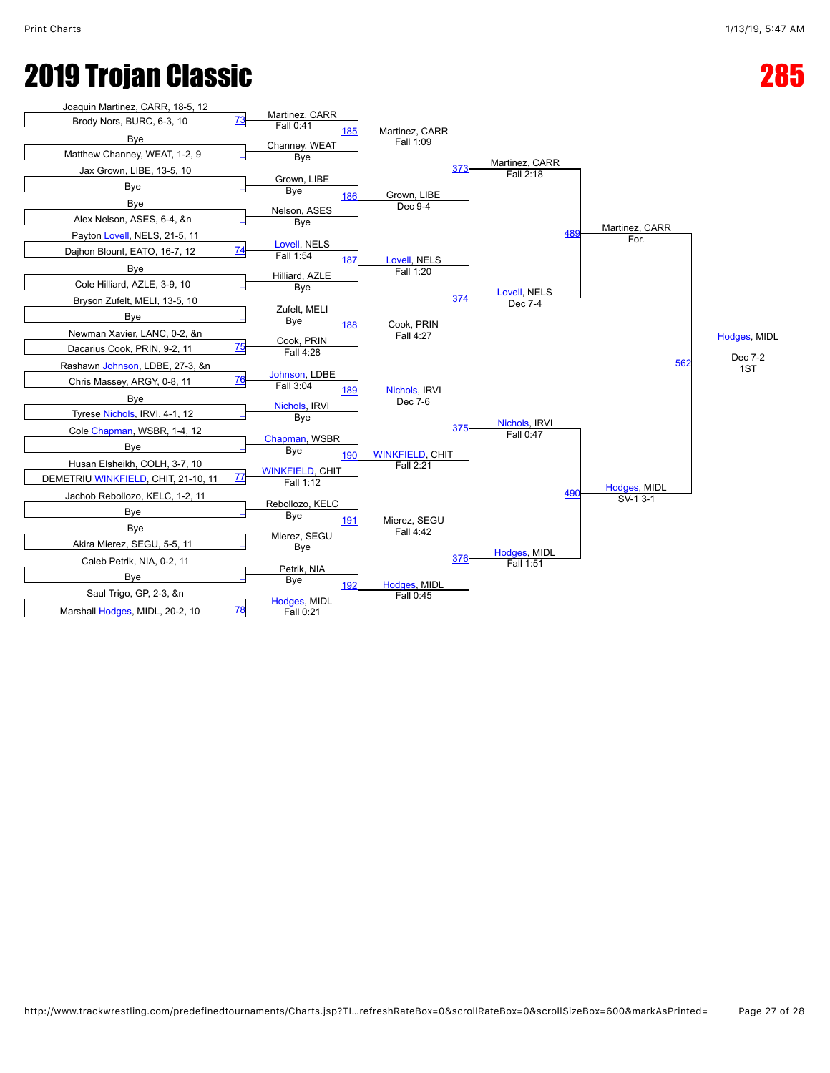